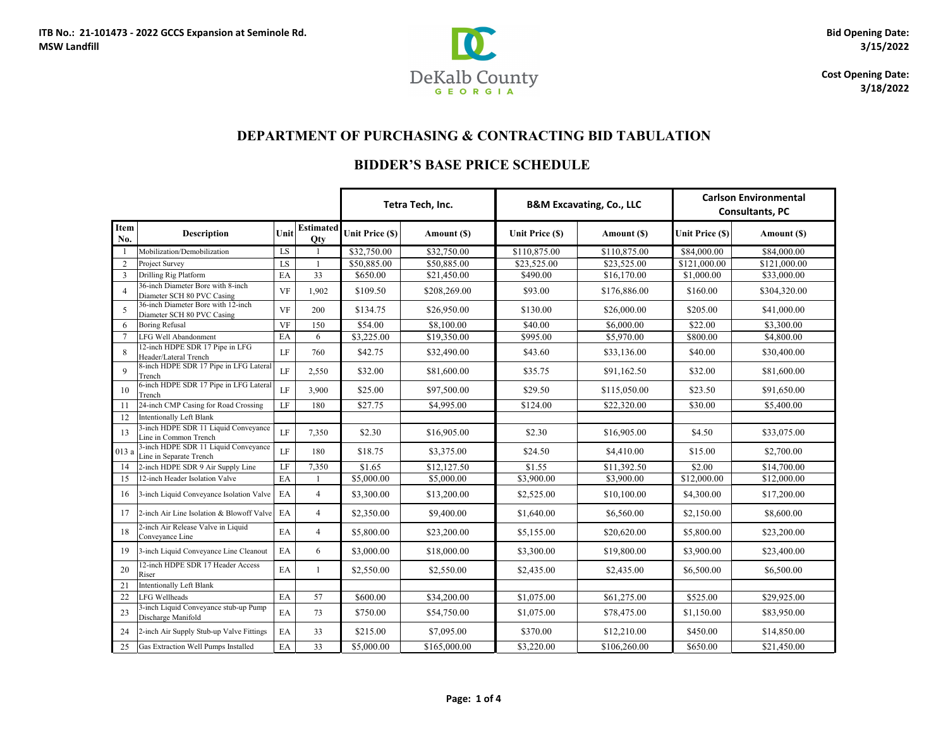

**Cost Opening Date: 3/18/2022**

|                |                                                                  |                            |                                |                 | Tetra Tech, Inc. |                 | <b>B&amp;M Excavating, Co., LLC</b> |                         | <b>Carlson Environmental</b><br><b>Consultants, PC</b> |
|----------------|------------------------------------------------------------------|----------------------------|--------------------------------|-----------------|------------------|-----------------|-------------------------------------|-------------------------|--------------------------------------------------------|
| Item<br>No.    | <b>Description</b>                                               | Unit                       | <b>Estimated</b><br><b>Qty</b> | Unit Price (\$) | Amount (\$)      | Unit Price (\$) | Amount (\$)                         | <b>Unit Price (\$)</b>  | Amount (\$)                                            |
|                | Mobilization/Demobilization                                      | LS                         |                                | \$32,750.00     | \$32,750.00      | \$110,875.00    | \$110,875.00                        | $\overline{$84,000.00}$ | \$84,000.00                                            |
| 2              | Project Survey                                                   | LS                         |                                | \$50,885.00     | \$50,885.00      | \$23,525.00     | \$23,525.00                         | \$121,000.00            | \$121,000.00                                           |
| 3              | Drilling Rig Platform                                            | EA                         | 33                             | \$650.00        | \$21,450.00      | \$490.00        | \$16,170.00                         | \$1,000.00              | \$33,000.00                                            |
| $\overline{4}$ | 36-inch Diameter Bore with 8-inch<br>Diameter SCH 80 PVC Casing  | <b>VF</b>                  | 1,902                          | \$109.50        | \$208,269.00     | \$93.00         | \$176,886.00                        | \$160.00                | \$304,320.00                                           |
| 5              | 36-inch Diameter Bore with 12-inch<br>Diameter SCH 80 PVC Casing | <b>VF</b>                  | 200                            | \$134.75        | \$26,950.00      | \$130.00        | \$26,000.00                         | \$205.00                | \$41,000.00                                            |
| 6              | <b>Boring Refusal</b>                                            | <b>VF</b>                  | 150                            | \$54.00         | \$8,100.00       | \$40.00         | \$6,000.00                          | \$22.00                 | \$3,300.00                                             |
| $\overline{7}$ | <b>LFG Well Abandonment</b>                                      | EA                         | 6                              | \$3,225.00      | \$19,350.00      | \$995.00        | \$5,970.00                          | \$800.00                | \$4,800.00                                             |
| 8              | 12-inch HDPE SDR 17 Pipe in LFG<br>Header/Lateral Trench         | LF                         | 760                            | \$42.75         | \$32,490.00      | \$43.60         | \$33,136.00                         | \$40.00                 | \$30,400.00                                            |
| 9              | 8-inch HDPE SDR 17 Pipe in LFG Lateral<br>Trench                 | LF                         | 2,550                          | \$32.00         | \$81,600.00      | \$35.75         | \$91,162.50                         | \$32.00                 | \$81,600.00                                            |
| 10             | 6-inch HDPE SDR 17 Pipe in LFG Lateral<br>Trench                 | LF                         | 3,900                          | \$25.00         | \$97,500.00      | \$29.50         | \$115,050.00                        | \$23.50                 | \$91,650.00                                            |
| 11             | 24-inch CMP Casing for Road Crossing                             | LF                         | 180                            | \$27.75         | \$4,995.00       | \$124.00        | \$22,320.00                         | \$30.00                 | \$5,400.00                                             |
| 12             | <b>Intentionally Left Blank</b>                                  |                            |                                |                 |                  |                 |                                     |                         |                                                        |
| 13             | 3-inch HDPE SDR 11 Liquid Conveyance<br>Line in Common Trench    | LF                         | 7,350                          | \$2.30          | \$16,905.00      | \$2.30          | \$16,905.00                         | \$4.50                  | \$33,075.00                                            |
| 013 a          | 3-inch HDPE SDR 11 Liquid Conveyance<br>Line in Separate Trench  | LF                         | 180                            | \$18.75         | \$3,375.00       | \$24.50         | \$4,410.00                          | \$15.00                 | \$2,700.00                                             |
| 14             | 2-inch HDPE SDR 9 Air Supply Line                                | LF                         | 7,350                          | \$1.65          | \$12,127.50      | \$1.55          | \$11,392.50                         | \$2.00                  | \$14,700.00                                            |
| 15             | 12-inch Header Isolation Valve                                   | EA                         |                                | \$5,000.00      | \$5,000.00       | \$3,900.00      | \$3,900.00                          | \$12,000.00             | \$12,000.00                                            |
| 16             | 3-inch Liquid Conveyance Isolation Valve                         | EA                         | $\overline{4}$                 | \$3,300.00      | \$13,200.00      | \$2,525.00      | \$10,100.00                         | \$4,300.00              | \$17,200.00                                            |
| 17             | 2-inch Air Line Isolation & Blowoff Valve                        | EA                         | $\overline{4}$                 | \$2,350.00      | \$9,400.00       | \$1,640.00      | \$6,560.00                          | \$2,150.00              | \$8,600.00                                             |
| 18             | 2-inch Air Release Valve in Liquid<br>Conveyance Line            | $\mathop{\rm EA}\nolimits$ | 4                              | \$5,800.00      | \$23,200.00      | \$5,155.00      | \$20,620.00                         | \$5,800.00              | \$23,200.00                                            |
| 19             | 3-inch Liquid Conveyance Line Cleanout                           | EA                         | 6                              | \$3,000.00      | \$18,000.00      | \$3,300.00      | \$19,800.00                         | \$3,900.00              | \$23,400.00                                            |
| 20             | 12-inch HDPE SDR 17 Header Access<br>Riser                       | EA                         |                                | \$2,550.00      | \$2,550.00       | \$2,435.00      | \$2,435.00                          | \$6,500.00              | \$6,500.00                                             |
| 21             | Intentionally Left Blank                                         |                            |                                |                 |                  |                 |                                     |                         |                                                        |
| 22             | LFG Wellheads                                                    | EA                         | 57                             | \$600.00        | \$34,200.00      | \$1,075.00      | \$61,275.00                         | \$525.00                | \$29,925.00                                            |
| 23             | 3-inch Liquid Conveyance stub-up Pump<br>Discharge Manifold      | EA                         | 73                             | \$750.00        | \$54,750.00      | \$1,075.00      | \$78,475.00                         | \$1,150.00              | \$83,950.00                                            |
| 24             | 2-inch Air Supply Stub-up Valve Fittings                         | EA                         | 33                             | \$215.00        | \$7,095.00       | \$370.00        | \$12,210.00                         | \$450.00                | \$14,850.00                                            |
| 25             | Gas Extraction Well Pumps Installed                              | EA                         | 33                             | \$5,000.00      | \$165,000.00     | \$3,220.00      | \$106,260.00                        | \$650.00                | \$21,450.00                                            |

# **DEPARTMENT OF PURCHASING & CONTRACTING BID TABULATION**

## **BIDDER'S BASE PRICE SCHEDULE**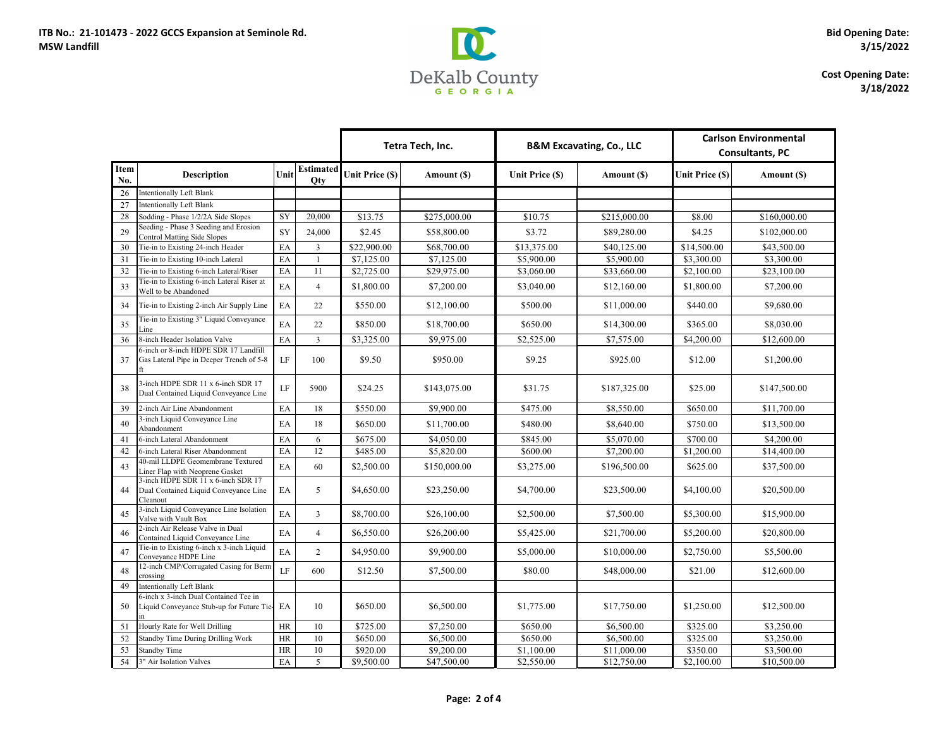

### **Cost Opening Date: 3/18/2022**

|                    |                                                                                         | Tetra Tech, Inc.           |                                | <b>B&amp;M Excavating, Co., LLC</b> |              | <b>Carlson Environmental</b><br><b>Consultants, PC</b> |              |                 |              |
|--------------------|-----------------------------------------------------------------------------------------|----------------------------|--------------------------------|-------------------------------------|--------------|--------------------------------------------------------|--------------|-----------------|--------------|
| <b>Item</b><br>No. | <b>Description</b>                                                                      | Unit                       | <b>Estimated</b><br><b>Qty</b> | Unit Price (\$)                     | Amount (\$)  | <b>Unit Price (\$)</b>                                 | Amount (\$)  | Unit Price (\$) | Amount (\$)  |
| 26                 | Intentionally Left Blank                                                                |                            |                                |                                     |              |                                                        |              |                 |              |
| 27                 | <b>Intentionally Left Blank</b>                                                         |                            |                                |                                     |              |                                                        |              |                 |              |
| 28                 | Sodding - Phase 1/2/2A Side Slopes                                                      | SY                         | 20,000                         | \$13.75                             | \$275,000.00 | \$10.75                                                | \$215,000.00 | \$8.00          | \$160,000.00 |
| 29                 | Seeding - Phase 3 Seeding and Erosion<br><b>Control Matting Side Slopes</b>             | <b>SY</b>                  | 24,000                         | \$2.45                              | \$58,800.00  | \$3.72                                                 | \$89,280.00  | \$4.25          | \$102,000.00 |
| 30                 | Tie-in to Existing 24-inch Header                                                       | EA                         | $\overline{3}$                 | \$22,900.00                         | \$68,700.00  | \$13,375.00                                            | \$40,125.00  | \$14,500.00     | \$43,500.00  |
| 31                 | Tie-in to Existing 10-inch Lateral                                                      | EA                         |                                | \$7,125.00                          | \$7,125.00   | \$5,900.00                                             | \$5,900.00   | \$3,300.00      | \$3,300.00   |
| 32                 | Tie-in to Existing 6-inch Lateral/Riser                                                 | EA                         | 11                             | \$2,725.00                          | \$29,975.00  | \$3,060.00                                             | \$33,660.00  | \$2,100.00      | \$23,100.00  |
| 33                 | Tie-in to Existing 6-inch Lateral Riser at<br>Well to be Abandoned                      | EA                         | $\overline{4}$                 | \$1,800.00                          | \$7,200.00   | \$3,040.00                                             | \$12,160.00  | \$1,800.00      | \$7,200.00   |
| 34                 | Tie-in to Existing 2-inch Air Supply Line                                               | EA                         | 22                             | \$550.00                            | \$12,100.00  | \$500.00                                               | \$11,000.00  | \$440.00        | \$9,680.00   |
| 35                 | Tie-in to Existing 3" Liquid Conveyance<br>Line                                         | EA                         | 22                             | \$850.00                            | \$18,700.00  | \$650.00                                               | \$14,300.00  | \$365.00        | \$8,030.00   |
| 36                 | 8-inch Header Isolation Valve                                                           | EA                         | $\overline{3}$                 | \$3,325.00                          | \$9,975.00   | \$2,525.00                                             | \$7,575.00   | \$4,200.00      | \$12,600.00  |
| 37                 | 6-inch or 8-inch HDPE SDR 17 Landfill<br>Gas Lateral Pipe in Deeper Trench of 5-8       | LF                         | 100                            | \$9.50                              | \$950.00     | \$9.25                                                 | \$925.00     | \$12.00         | \$1,200.00   |
| 38                 | 3-inch HDPE SDR 11 x 6-inch SDR 17<br>Dual Contained Liquid Conveyance Line             | LF                         | 5900                           | \$24.25                             | \$143,075.00 | \$31.75                                                | \$187,325.00 | \$25.00         | \$147,500.00 |
| 39                 | 2-inch Air Line Abandonment                                                             | EA                         | 18                             | \$550.00                            | \$9,900.00   | \$475.00                                               | \$8,550.00   | \$650.00        | \$11,700.00  |
| 40                 | 3-inch Liquid Conveyance Line<br>Abandonment                                            | EA                         | 18                             | \$650.00                            | \$11,700.00  | \$480.00                                               | \$8,640.00   | \$750.00        | \$13,500.00  |
| 41                 | 6-inch Lateral Abandonment                                                              | EA                         | 6                              | \$675.00                            | \$4,050.00   | \$845.00                                               | \$5,070.00   | \$700.00        | \$4,200.00   |
| 42                 | 6-inch Lateral Riser Abandonment                                                        | EA                         | 12                             | \$485.00                            | \$5,820.00   | \$600.00                                               | \$7,200.00   | \$1,200.00      | \$14,400.00  |
| 43                 | 40-mil LLDPE Geomembrane Textured<br>Liner Flap with Neoprene Gasket                    | EA                         | 60                             | \$2,500.00                          | \$150,000.00 | \$3,275.00                                             | \$196,500.00 | \$625.00        | \$37,500.00  |
| 44                 | 3-inch HDPE SDR 11 x 6-inch SDR 17<br>Dual Contained Liquid Conveyance Line<br>Cleanout | EA                         | 5                              | \$4,650.00                          | \$23,250.00  | \$4,700.00                                             | \$23,500.00  | \$4,100.00      | \$20,500.00  |
| 45                 | 3-inch Liquid Conveyance Line Isolation<br>Valve with Vault Box                         | EA                         | $\overline{3}$                 | \$8,700.00                          | \$26,100.00  | \$2,500.00                                             | \$7,500.00   | \$5,300.00      | \$15,900.00  |
| 46                 | 2-inch Air Release Valve in Dual<br>Contained Liquid Conveyance Line                    | $\boldsymbol{\mathrm{EA}}$ | $\overline{4}$                 | \$6,550.00                          | \$26,200.00  | \$5,425.00                                             | \$21,700.00  | \$5,200.00      | \$20,800.00  |
| 47                 | Tie-in to Existing 6-inch x 3-inch Liquid<br>Conveyance HDPE Line                       | EA                         | 2                              | \$4,950.00                          | \$9,900.00   | \$5,000.00                                             | \$10,000.00  | \$2,750.00      | \$5,500.00   |
| 48                 | 12-inch CMP/Corrugated Casing for Berm<br>crossing                                      | LF                         | 600                            | \$12.50                             | \$7,500.00   | \$80.00                                                | \$48,000.00  | \$21.00         | \$12,600.00  |
| 49                 | Intentionally Left Blank                                                                |                            |                                |                                     |              |                                                        |              |                 |              |
| 50                 | 6-inch x 3-inch Dual Contained Tee in<br>Liquid Conveyance Stub-up for Future Tie-      | EA                         | 10                             | \$650.00                            | \$6,500.00   | \$1,775.00                                             | \$17,750.00  | \$1,250.00      | \$12,500.00  |
| 51                 | Hourly Rate for Well Drilling                                                           | HR                         | 10                             | \$725.00                            | \$7,250.00   | \$650.00                                               | \$6,500.00   | \$325.00        | \$3,250.00   |
| 52                 | Standby Time During Drilling Work                                                       | HR                         | 10                             | \$650.00                            | \$6,500.00   | \$650.00                                               | \$6,500.00   | \$325.00        | \$3,250.00   |
| 53                 | <b>Standby Time</b>                                                                     | HR                         | 10                             | \$920.00                            | \$9,200.00   | \$1,100.00                                             | \$11,000.00  | \$350.00        | \$3,500.00   |
| 54                 | 3" Air Isolation Valves                                                                 | EA                         | 5                              | \$9,500.00                          | \$47,500.00  | \$2,550.00                                             | \$12,750.00  | \$2,100.00      | \$10,500.00  |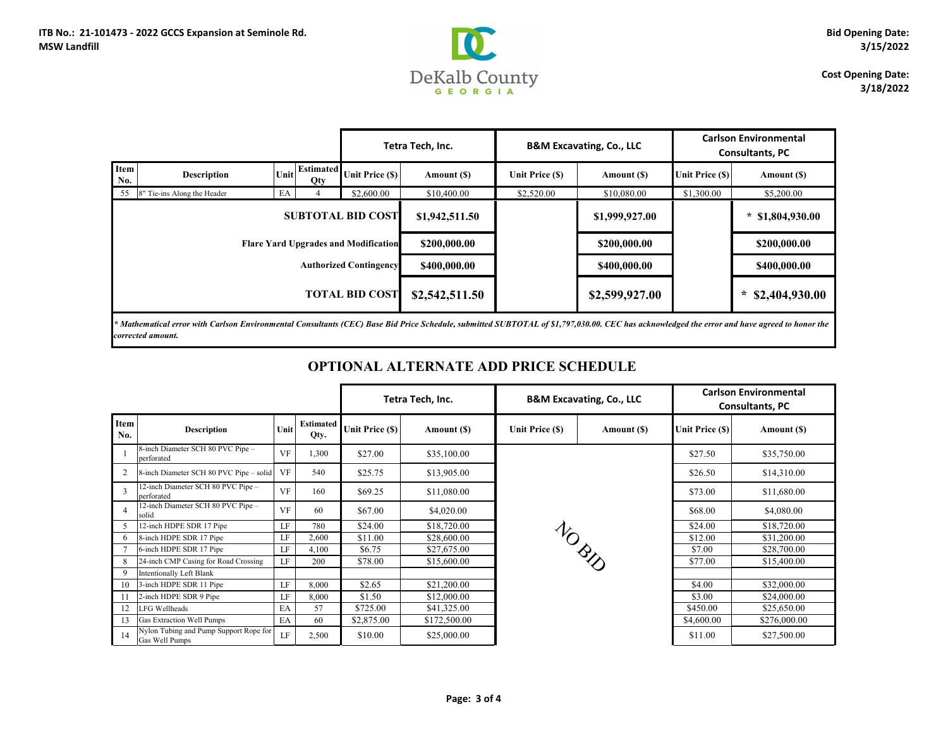

### **Cost Opening Date: 3/18/2022**

| <b>Carlson Environmental</b><br><b>Consultants, PC</b> |                          |  |  |  |  |
|--------------------------------------------------------|--------------------------|--|--|--|--|
| rice (\$)                                              | Amount (\$)              |  |  |  |  |
| 00.00                                                  | \$5,200.00               |  |  |  |  |
|                                                        | $*$ \$1,804,930.00       |  |  |  |  |
|                                                        | \$200,000.00             |  |  |  |  |
|                                                        | \$400,000.00             |  |  |  |  |
|                                                        | $\ast$<br>\$2,404,930.00 |  |  |  |  |
|                                                        |                          |  |  |  |  |

|                                             |                             | Tetra Tech, Inc. |                         | <b>B&amp;M Excavating, Co., LLC</b> |                | <b>Carlson Environmental</b><br><b>Consultants, PC</b> |                |                                       |                    |
|---------------------------------------------|-----------------------------|------------------|-------------------------|-------------------------------------|----------------|--------------------------------------------------------|----------------|---------------------------------------|--------------------|
| Item<br>No.                                 | <b>Description</b>          | Unit             | <b>Estimated</b><br>Qty | Unit Price (\$)                     | Amount (\$)    | Unit Price (\$)                                        | Amount (\$)    | Unit Price (\$)                       | Amount (\$)        |
| 55                                          | 8" Tie-ins Along the Header | EA               |                         | \$2,600.00                          | \$10,400.00    | \$2,520.00                                             | \$10,080.00    | \$1,300.00                            | \$5,200.00         |
| <b>SUBTOTAL BID COST</b>                    |                             |                  |                         |                                     | \$1,942,511.50 |                                                        | \$1,999,927.00 |                                       | $*$ \$1,804,930.00 |
| <b>Flare Yard Upgrades and Modification</b> |                             |                  |                         |                                     | \$200,000.00   |                                                        | \$200,000.00   |                                       | \$200,000.00       |
| <b>Authorized Contingency</b>               |                             |                  |                         |                                     | \$400,000.00   |                                                        | \$400,000.00   |                                       | \$400,000.00       |
| <b>TOTAL BID COST</b>                       |                             |                  |                         | \$2,542,511.50                      |                | \$2,599,927.00                                         |                | $\boldsymbol{\ast}$<br>\$2,404,930.00 |                    |
|                                             |                             |                  |                         |                                     |                |                                                        |                |                                       |                    |

*\* Mathematical error with Carlson Environmental Consultants (CEC) Base Bid Price Schedule, submitted SUBTOTAL of \$1,797,030.00. CEC has acknowledged the error and have agreed to honor the corrected amount.*

|  | OPTIONAL ALTERNATE ADD PRICE SCHEDULE |
|--|---------------------------------------|
|--|---------------------------------------|

|                    |                                                          |                        | Tetra Tech, Inc.         |                 | <b>B&amp;M Excavating, Co., LLC</b> |                 | <b>Carlson Environmental</b><br><b>Consultants, PC</b> |                 |              |
|--------------------|----------------------------------------------------------|------------------------|--------------------------|-----------------|-------------------------------------|-----------------|--------------------------------------------------------|-----------------|--------------|
| <b>Item</b><br>No. | <b>Description</b>                                       | Unit                   | <b>Estimated</b><br>Qty. | Unit Price (\$) | Amount (\$)                         | Unit Price (\$) | Amount (\$)                                            | Unit Price (\$) | Amount (\$)  |
|                    | 8-inch Diameter SCH 80 PVC Pipe -<br>perforated          | <b>VF</b>              | 1,300                    | \$27.00         | \$35,100.00                         | <b>NO BUT</b>   |                                                        | \$27.50         | \$35,750.00  |
| 2                  | 8-inch Diameter SCH 80 PVC Pipe - solid                  | <b>VF</b>              | 540                      | \$25.75         | \$13,905.00                         |                 |                                                        | \$26.50         | \$14,310.00  |
| 3                  | 12-inch Diameter SCH 80 PVC Pipe -<br>perforated         | <b>VF</b>              | 160                      | \$69.25         | \$11,080.00                         |                 |                                                        | \$73.00         | \$11,680.00  |
| $\overline{4}$     | 12-inch Diameter SCH 80 PVC Pipe -<br>solid              | <b>VF</b>              | 60                       | \$67.00         | \$4,020.00                          |                 |                                                        | \$68.00         | \$4,080.00   |
| 5                  | 12-inch HDPE SDR 17 Pipe                                 | LF                     | 780                      | \$24.00         | \$18,720.00                         |                 |                                                        | \$24.00         | \$18,720.00  |
| 6                  | 8-inch HDPE SDR 17 Pipe                                  | LF                     | 2,600                    | \$11.00         | \$28,600.00                         |                 |                                                        | \$12.00         | \$31,200.00  |
|                    | 6-inch HDPE SDR 17 Pipe                                  | LF                     | 4,100                    | \$6.75          | \$27,675.00                         |                 |                                                        | \$7.00          | \$28,700.00  |
| 8                  | 24-inch CMP Casing for Road Crossing                     | LF                     | 200                      | \$78.00         | \$15,600.00                         |                 |                                                        | \$77.00         | \$15,400.00  |
| 9                  | <b>Intentionally Left Blank</b>                          |                        |                          |                 |                                     |                 |                                                        |                 |              |
| 10                 | 3-inch HDPE SDR 11 Pipe                                  | LF                     | 8,000                    | \$2.65          | \$21,200.00                         |                 |                                                        | \$4.00          | \$32,000.00  |
| 11                 | 2-inch HDPE SDR 9 Pipe                                   | $\mathbf{L}\mathbf{F}$ | 8,000                    | \$1.50          | \$12,000.00                         |                 |                                                        | \$3.00          | \$24,000.00  |
| 12                 | LFG Wellheads                                            | EA                     | 57                       | \$725.00        | \$41,325.00                         |                 |                                                        | \$450.00        | \$25,650.00  |
| 13                 | Gas Extraction Well Pumps                                | EA                     | 60                       | \$2,875.00      | \$172,500.00                        |                 |                                                        | \$4,600.00      | \$276,000.00 |
| 14                 | Nylon Tubing and Pump Support Rope for<br>Gas Well Pumps | LF                     | 2,500                    | \$10.00         | \$25,000.00                         |                 |                                                        | \$11.00         | \$27,500.00  |